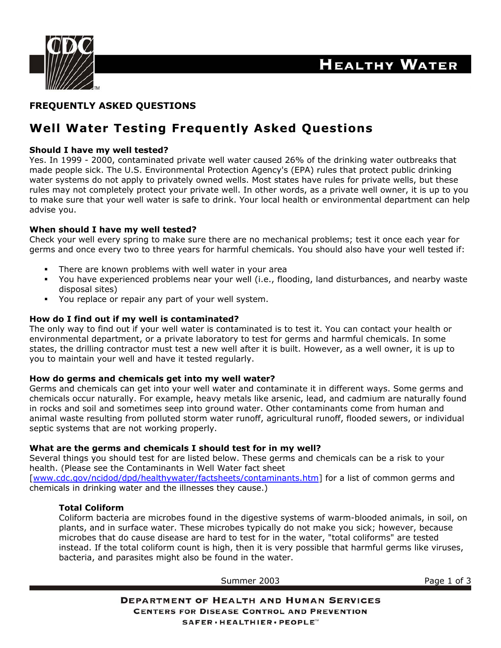



# **FREQUENTLY ASKED QUESTIONS**

# **Well Water Testing Frequently Asked Questions**

# **Should I have my well tested?**

Yes. In 1999 - 2000, contaminated private well water caused 26% of the drinking water outbreaks that made people sick. The U.S. Environmental Protection Agency's (EPA) rules that protect public drinking water systems do not apply to privately owned wells. Most states have rules for private wells, but these rules may not completely protect your private well. In other words, as a private well owner, it is up to you to make sure that your well water is safe to drink. Your local health or environmental department can help advise you.

# **When should I have my well tested?**

Check your well every spring to make sure there are no mechanical problems; test it once each year for germs and once every two to three years for harmful chemicals. You should also have your well tested if:

- **There are known problems with well water in your area**
- You have experienced problems near your well (i.e., flooding, land disturbances, and nearby waste disposal sites)
- You replace or repair any part of your well system.

# **How do I find out if my well is contaminated?**

The only way to find out if your well water is contaminated is to test it. You can contact your health or environmental department, or a private laboratory to test for germs and harmful chemicals. In some states, the drilling contractor must test a new well after it is built. However, as a well owner, it is up to you to maintain your well and have it tested regularly.

#### **How do germs and chemicals get into my well water?**

Germs and chemicals can get into your well water and contaminate it in different ways. Some germs and chemicals occur naturally. For example, heavy metals like arsenic, lead, and cadmium are naturally found in rocks and soil and sometimes seep into ground water. Other contaminants come from human and animal waste resulting from polluted storm water runoff, agricultural runoff, flooded sewers, or individual septic systems that are not working properly.

#### **What are the germs and chemicals I should test for in my well?**

Several things you should test for are listed below. These germs and chemicals can be a risk to your health. (Please see the Contaminants in Well Water fact sheet [[www.cdc.gov/ncidod/dpd/healthywater/factsheets/contaminants.htm\]](http://www.cdc.gov/ncidod/dpd/healthywater/factsheets/contaminants.htm) for a list of common germs and chemicals in drinking water and the illnesses they cause.)

# **Total Coliform**

Coliform bacteria are microbes found in the digestive systems of warm-blooded animals, in soil, on plants, and in surface water. These microbes typically do not make you sick; however, because microbes that do cause disease are hard to test for in the water, "total coliforms" are tested instead. If the total coliform count is high, then it is very possible that harmful germs like viruses, bacteria, and parasites might also be found in the water.

Summer 2003 Page 1 of 3

**DEPARTMENT OF HEALTH AND HUMAN SERVICES CENTERS FOR DISEASE CONTROL AND PREVENTION**  $\texttt{SAFER} \cdot \texttt{HEALTHIER} \cdot \texttt{PEOPLE}^{\mathsf{m}}$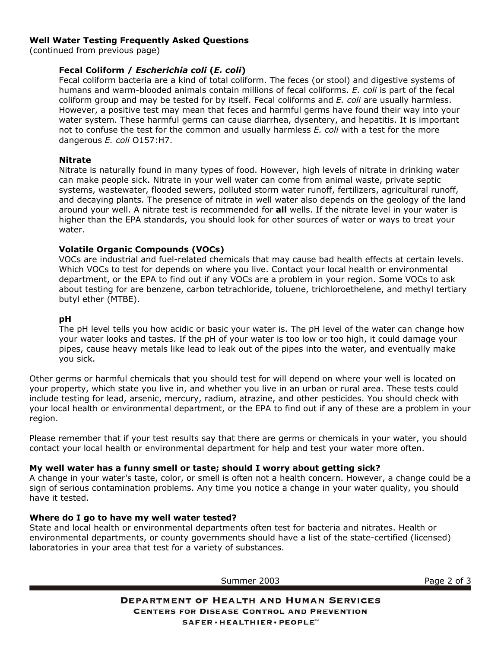## **Well Water Testing Frequently Asked Questions**

(continued from previous page)

# **Fecal Coliform /** *Escherichia coli* **(***E. coli***)**

Fecal coliform bacteria are a kind of total coliform. The feces (or stool) and digestive systems of humans and warm-blooded animals contain millions of fecal coliforms. *E. coli* is part of the fecal coliform group and may be tested for by itself. Fecal coliforms and *E. coli* are usually harmless. However, a positive test may mean that feces and harmful germs have found their way into your water system. These harmful germs can cause diarrhea, dysentery, and hepatitis. It is important not to confuse the test for the common and usually harmless *E. coli* with a test for the more dangerous *E. coli* O157:H7.

# **Nitrate**

Nitrate is naturally found in many types of food. However, high levels of nitrate in drinking water can make people sick. Nitrate in your well water can come from animal waste, private septic systems, wastewater, flooded sewers, polluted storm water runoff, fertilizers, agricultural runoff, and decaying plants. The presence of nitrate in well water also depends on the geology of the land around your well. A nitrate test is recommended for **all** wells. If the nitrate level in your water is higher than the EPA standards, you should look for other sources of water or ways to treat your water.

# **Volatile Organic Compounds (VOCs)**

VOCs are industrial and fuel-related chemicals that may cause bad health effects at certain levels. Which VOCs to test for depends on where you live. Contact your local health or environmental department, or the EPA to find out if any VOCs are a problem in your region. Some VOCs to ask about testing for are benzene, carbon tetrachloride, toluene, trichloroethelene, and methyl tertiary butyl ether (MTBE).

#### **pH**

The pH level tells you how acidic or basic your water is. The pH level of the water can change how your water looks and tastes. If the pH of your water is too low or too high, it could damage your pipes, cause heavy metals like lead to leak out of the pipes into the water, and eventually make you sick.

Other germs or harmful chemicals that you should test for will depend on where your well is located on your property, which state you live in, and whether you live in an urban or rural area. These tests could include testing for lead, arsenic, mercury, radium, atrazine, and other pesticides. You should check with your local health or environmental department, or the EPA to find out if any of these are a problem in your region.

Please remember that if your test results say that there are germs or chemicals in your water, you should contact your local health or environmental department for help and test your water more often.

#### **My well water has a funny smell or taste; should I worry about getting sick?**

A change in your water's taste, color, or smell is often not a health concern. However, a change could be a sign of serious contamination problems. Any time you notice a change in your water quality, you should have it tested.

#### **Where do I go to have my well water tested?**

State and local health or environmental departments often test for bacteria and nitrates. Health or environmental departments, or county governments should have a list of the state-certified (licensed) laboratories in your area that test for a variety of substances.

> Summer 2003 **Page 2 of 3 DEPARTMENT OF HEALTH AND HUMAN SERVICES CENTERS FOR DISEASE CONTROL AND PREVENTION**  $\texttt{SAFER} \cdot \texttt{HEALTHIER} \cdot \texttt{PEOPLE}^{\mathsf{m}}$